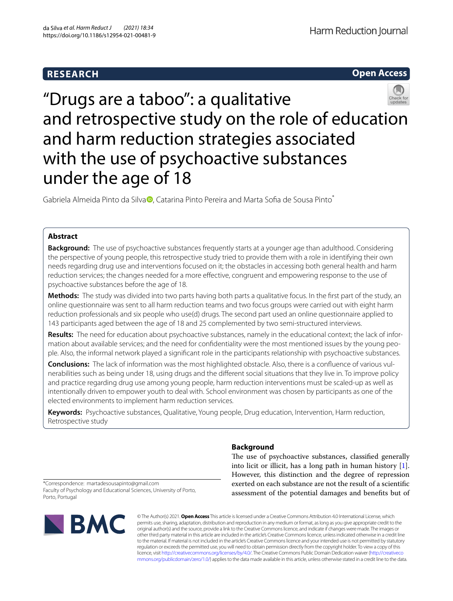# **RESEARCH**





# "Drugs are a taboo": a qualitative and retrospective study on the role of education and harm reduction strategies associated with the use of psychoactive substances under the age of 18

Gabriela Almeida Pinto da Silva D. Catarina Pinto Pereira and Marta Sofia de Sousa Pinto\*

# **Abstract**

**Background:** The use of psychoactive substances frequently starts at a younger age than adulthood. Considering the perspective of young people, this retrospective study tried to provide them with a role in identifying their own needs regarding drug use and interventions focused on it; the obstacles in accessing both general health and harm reduction services; the changes needed for a more efective, congruent and empowering response to the use of psychoactive substances before the age of 18.

**Methods:** The study was divided into two parts having both parts a qualitative focus. In the frst part of the study, an online questionnaire was sent to all harm reduction teams and two focus groups were carried out with eight harm reduction professionals and six people who use(d) drugs. The second part used an online questionnaire applied to 143 participants aged between the age of 18 and 25 complemented by two semi-structured interviews.

**Results:** The need for education about psychoactive substances, namely in the educational context; the lack of information about available services; and the need for confdentiality were the most mentioned issues by the young people. Also, the informal network played a signifcant role in the participants relationship with psychoactive substances.

**Conclusions:** The lack of information was the most highlighted obstacle. Also, there is a confuence of various vulnerabilities such as being under 18, using drugs and the diferent social situations that they live in. To improve policy and practice regarding drug use among young people, harm reduction interventions must be scaled-up as well as intentionally driven to empower youth to deal with. School environment was chosen by participants as one of the elected environments to implement harm reduction services.

**Keywords:** Psychoactive substances, Qualitative, Young people, Drug education, Intervention, Harm reduction, Retrospective study

# **Background**

The use of psychoactive substances, classified generally into licit or illicit, has a long path in human history [\[1](#page-8-0)]. However, this distinction and the degree of repression exerted on each substance are not the result of a scientifc assessment of the potential damages and benefts but of

\*Correspondence: martadesousapinto@gmail.com Faculty of Psychology and Educational Sciences, University of Porto, Porto, Portugal



© The Author(s) 2021. **Open Access** This article is licensed under a Creative Commons Attribution 4.0 International License, which permits use, sharing, adaptation, distribution and reproduction in any medium or format, as long as you give appropriate credit to the original author(s) and the source, provide a link to the Creative Commons licence, and indicate if changes were made. The images or other third party material in this article are included in the article's Creative Commons licence, unless indicated otherwise in a credit line to the material. If material is not included in the article's Creative Commons licence and your intended use is not permitted by statutory regulation or exceeds the permitted use, you will need to obtain permission directly from the copyright holder. To view a copy of this licence, visit [http://creativecommons.org/licenses/by/4.0/.](http://creativecommons.org/licenses/by/4.0/) The Creative Commons Public Domain Dedication waiver ([http://creativeco](http://creativecommons.org/publicdomain/zero/1.0/) [mmons.org/publicdomain/zero/1.0/](http://creativecommons.org/publicdomain/zero/1.0/)) applies to the data made available in this article, unless otherwise stated in a credit line to the data.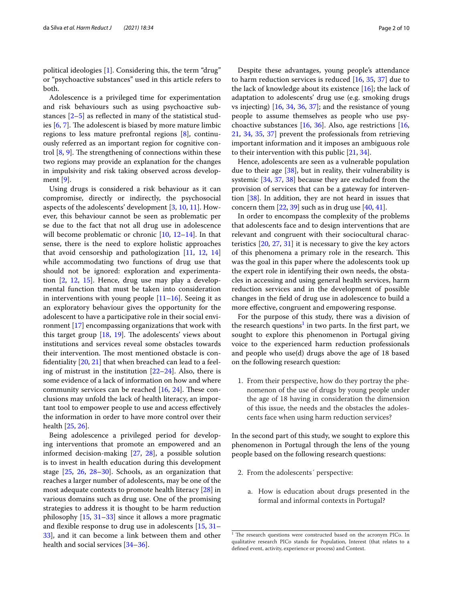political ideologies [[1\]](#page-8-0). Considering this, the term "drug" or "psychoactive substances" used in this article refers to both.

Adolescence is a privileged time for experimentation and risk behaviours such as using psychoactive substances  $[2-5]$  $[2-5]$  $[2-5]$  as reflected in many of the statistical studies  $[6, 7]$  $[6, 7]$  $[6, 7]$ . The adolescent is biased by more mature limbic regions to less mature prefrontal regions [[8\]](#page-8-5), continuously referred as an important region for cognitive control  $[8, 9]$  $[8, 9]$  $[8, 9]$ . The strengthening of connections within these two regions may provide an explanation for the changes in impulsivity and risk taking observed across development [\[9](#page-8-6)].

Using drugs is considered a risk behaviour as it can compromise, directly or indirectly, the psychosocial aspects of the adolescents' development [[3](#page-8-7), [10,](#page-8-8) [11](#page-8-9)]. However, this behaviour cannot be seen as problematic per se due to the fact that not all drug use in adolescence will become problematic or chronic  $[10, 12-14]$  $[10, 12-14]$  $[10, 12-14]$  $[10, 12-14]$ . In that sense, there is the need to explore holistic approaches that avoid censorship and pathologization [\[11](#page-8-9), [12,](#page-8-10) [14](#page-8-11)] while accommodating two functions of drug use that should not be ignored: exploration and experimentation [[2,](#page-8-1) [12](#page-8-10), [15\]](#page-8-12). Hence, drug use may play a developmental function that must be taken into consideration in interventions with young people  $[11–16]$  $[11–16]$  $[11–16]$  $[11–16]$ . Seeing it as an exploratory behaviour gives the opportunity for the adolescent to have a participative role in their social environment [[17\]](#page-8-14) encompassing organizations that work with this target group  $[18, 19]$  $[18, 19]$  $[18, 19]$ . The adolescents' views about institutions and services reveal some obstacles towards their intervention. The most mentioned obstacle is confdentiality [\[20,](#page-8-17) [21](#page-8-18)] that when breached can lead to a feeling of mistrust in the institution  $[22-24]$  $[22-24]$ . Also, there is some evidence of a lack of information on how and where community services can be reached  $[16, 24]$  $[16, 24]$  $[16, 24]$ . These conclusions may unfold the lack of health literacy, an important tool to empower people to use and access efectively the information in order to have more control over their health [[25,](#page-8-21) [26\]](#page-9-0).

Being adolescence a privileged period for developing interventions that promote an empowered and an informed decision-making [[27,](#page-9-1) [28](#page-9-2)], a possible solution is to invest in health education during this development stage [[25,](#page-8-21) [26](#page-9-0), [28–](#page-9-2)[30](#page-9-3)]. Schools, as an organization that reaches a larger number of adolescents, may be one of the most adequate contexts to promote health literacy [\[28\]](#page-9-2) in various domains such as drug use. One of the promising strategies to address it is thought to be harm reduction philosophy [\[15](#page-8-12), [31](#page-9-4)[–33](#page-9-5)] since it allows a more pragmatic and fexible response to drug use in adolescents [[15,](#page-8-12) [31–](#page-9-4) [33\]](#page-9-5), and it can become a link between them and other health and social services [[34](#page-9-6)[–36](#page-9-7)].

Despite these advantages, young people's attendance to harm reduction services is reduced  $[16, 35, 37]$  $[16, 35, 37]$  $[16, 35, 37]$  $[16, 35, 37]$  $[16, 35, 37]$  $[16, 35, 37]$  $[16, 35, 37]$  due to the lack of knowledge about its existence  $[16]$ ; the lack of adaptation to adolescents' drug use (e.g. smoking drugs vs injecting) [\[16](#page-8-13), [34](#page-9-6), [36](#page-9-7), [37](#page-9-9)]; and the resistance of young people to assume themselves as people who use psychoactive substances [[16,](#page-8-13) [36](#page-9-7)]. Also, age restrictions [[16](#page-8-13), [21,](#page-8-18) [34](#page-9-6), [35](#page-9-8), [37\]](#page-9-9) prevent the professionals from retrieving important information and it imposes an ambiguous role to their intervention with this public [[21,](#page-8-18) [34](#page-9-6)].

Hence, adolescents are seen as a vulnerable population due to their age  $[38]$  $[38]$ , but in reality, their vulnerability is systemic [[34,](#page-9-6) [37,](#page-9-9) [38\]](#page-9-10) because they are excluded from the provision of services that can be a gateway for intervention [\[38](#page-9-10)]. In addition, they are not heard in issues that concern them [[22,](#page-8-19) [39](#page-9-11)] such as in drug use [[40](#page-9-12), [41\]](#page-9-13).

In order to encompass the complexity of the problems that adolescents face and to design interventions that are relevant and congruent with their sociocultural characteristics [\[20,](#page-8-17) [27,](#page-9-1) [31](#page-9-4)] it is necessary to give the key actors of this phenomena a primary role in the research. This was the goal in this paper where the adolescents took up the expert role in identifying their own needs, the obstacles in accessing and using general health services, harm reduction services and in the development of possible changes in the feld of drug use in adolescence to build a more efective, congruent and empowering response.

For the purpose of this study, there was a division of the research questions<sup>1</sup> in two parts. In the first part, we sought to explore this phenomenon in Portugal giving voice to the experienced harm reduction professionals and people who use(d) drugs above the age of 18 based on the following research question:

1. From their perspective, how do they portray the phenomenon of the use of drugs by young people under the age of 18 having in consideration the dimension of this issue, the needs and the obstacles the adolescents face when using harm reduction services?

In the second part of this study, we sought to explore this phenomenon in Portugal through the lens of the young people based on the following research questions:

- 2. From the adolescents´ perspective:
	- a. How is education about drugs presented in the formal and informal contexts in Portugal?

<span id="page-1-0"></span> $1$  The research questions were constructed based on the acronym PICo. In qualitative research PICo stands for Population, Interest (that relates to a defned event, activity, experience or process) and Context.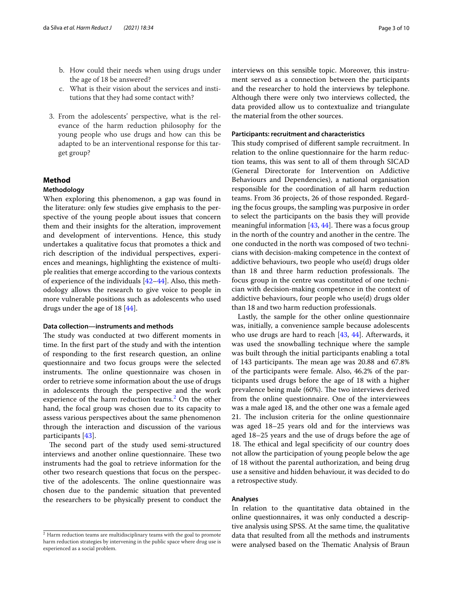- b. How could their needs when using drugs under the age of 18 be answered?
- c. What is their vision about the services and institutions that they had some contact with?
- 3. From the adolescents' perspective, what is the relevance of the harm reduction philosophy for the young people who use drugs and how can this be adapted to be an interventional response for this target group?

## **Method**

# **Methodology**

When exploring this phenomenon, a gap was found in the literature: only few studies give emphasis to the perspective of the young people about issues that concern them and their insights for the alteration, improvement and development of interventions. Hence, this study undertakes a qualitative focus that promotes a thick and rich description of the individual perspectives, experiences and meanings, highlighting the existence of multiple realities that emerge according to the various contexts of experience of the individuals [[42–](#page-9-14)[44\]](#page-9-15). Also, this methodology allows the research to give voice to people in more vulnerable positions such as adolescents who used drugs under the age of 18 [[44](#page-9-15)].

## **Data collection—instruments and methods**

The study was conducted at two different moments in time. In the frst part of the study and with the intention of responding to the frst research question, an online questionnaire and two focus groups were the selected instruments. The online questionnaire was chosen in order to retrieve some information about the use of drugs in adolescents through the perspective and the work experience of the harm reduction teams.<sup>[2](#page-2-0)</sup> On the other hand, the focal group was chosen due to its capacity to assess various perspectives about the same phenomenon through the interaction and discussion of the various participants [\[43](#page-9-16)].

The second part of the study used semi-structured interviews and another online questionnaire. These two instruments had the goal to retrieve information for the other two research questions that focus on the perspective of the adolescents. The online questionnaire was chosen due to the pandemic situation that prevented the researchers to be physically present to conduct the interviews on this sensible topic. Moreover, this instrument served as a connection between the participants and the researcher to hold the interviews by telephone. Although there were only two interviews collected, the data provided allow us to contextualize and triangulate the material from the other sources.

## **Participants: recruitment and characteristics**

This study comprised of different sample recruitment. In relation to the online questionnaire for the harm reduction teams, this was sent to all of them through SICAD (General Directorate for Intervention on Addictive Behaviours and Dependencies), a national organisation responsible for the coordination of all harm reduction teams. From 36 projects, 26 of those responded. Regarding the focus groups, the sampling was purposive in order to select the participants on the basis they will provide meaningful information  $[43, 44]$  $[43, 44]$  $[43, 44]$ . There was a focus group in the north of the country and another in the centre. The one conducted in the north was composed of two technicians with decision-making competence in the context of addictive behaviours, two people who use(d) drugs older than 18 and three harm reduction professionals. The focus group in the centre was constituted of one technician with decision-making competence in the context of addictive behaviours, four people who use(d) drugs older than 18 and two harm reduction professionals.

Lastly, the sample for the other online questionnaire was, initially, a convenience sample because adolescents who use drugs are hard to reach [\[43,](#page-9-16) [44](#page-9-15)]. Afterwards, it was used the snowballing technique where the sample was built through the initial participants enabling a total of 143 participants. The mean age was 20.88 and 67.8% of the participants were female. Also, 46.2% of the participants used drugs before the age of 18 with a higher prevalence being male (60%). The two interviews derived from the online questionnaire. One of the interviewees was a male aged 18, and the other one was a female aged 21. The inclusion criteria for the online questionnaire was aged 18–25 years old and for the interviews was aged 18–25 years and the use of drugs before the age of 18. The ethical and legal specificity of our country does not allow the participation of young people below the age of 18 without the parental authorization, and being drug use a sensitive and hidden behaviour, it was decided to do a retrospective study.

#### **Analyses**

In relation to the quantitative data obtained in the online questionnaires, it was only conducted a descriptive analysis using SPSS. At the same time, the qualitative data that resulted from all the methods and instruments were analysed based on the Thematic Analysis of Braun

<span id="page-2-0"></span><sup>&</sup>lt;sup>2</sup> Harm reduction teams are multidisciplinary teams with the goal to promote harm reduction strategies by intervening in the public space where drug use is experienced as a social problem.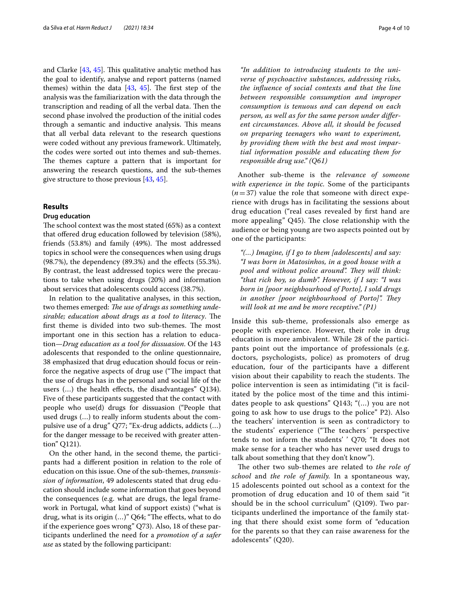and Clarke  $[43, 45]$  $[43, 45]$  $[43, 45]$  $[43, 45]$ . This qualitative analytic method has the goal to identify, analyse and report patterns (named themes) within the data  $[43, 45]$  $[43, 45]$  $[43, 45]$ . The first step of the analysis was the familiarization with the data through the transcription and reading of all the verbal data. Then the second phase involved the production of the initial codes through a semantic and inductive analysis. This means that all verbal data relevant to the research questions were coded without any previous framework. Ultimately, the codes were sorted out into themes and sub-themes. The themes capture a pattern that is important for answering the research questions, and the sub-themes give structure to those previous [[43,](#page-9-16) [45](#page-9-17)].

#### **Results**

# **Drug education**

The school context was the most stated (65%) as a context that offered drug education followed by television (58%), friends  $(53.8%)$  and family  $(49%)$ . The most addressed topics in school were the consequences when using drugs (98.7%), the dependency (89.3%) and the efects (55.3%). By contrast, the least addressed topics were the precautions to take when using drugs (20%) and information about services that adolescents could access (38.7%).

In relation to the qualitative analyses, in this section, two themes emerged: *The use of drugs as something undesirable; education about drugs as a tool to literacy*. The first theme is divided into two sub-themes. The most important one in this section has a relation to education—*Drug education as a tool for dissuasion*. Of the 143 adolescents that responded to the online questionnaire, 38 emphasized that drug education should focus or reinforce the negative aspects of drug use ("The impact that the use of drugs has in the personal and social life of the users  $(...)$  the health effects, the disadvantages" Q134). Five of these participants suggested that the contact with people who use(d) drugs for dissuasion ("People that used drugs (…) to really inform students about the compulsive use of a drug" Q77; "Ex-drug addicts, addicts (…) for the danger message to be received with greater attention" Q121).

On the other hand, in the second theme, the participants had a diferent position in relation to the role of education on this issue. One of the sub-themes, *transmission of information*, 49 adolescents stated that drug education should include some information that goes beyond the consequences (e.g. what are drugs, the legal framework in Portugal, what kind of support exists) ("what is drug, what is its origin (...)" Q64; "The effects, what to do if the experience goes wrong" Q73). Also, 18 of these participants underlined the need for a *promotion of a safer use* as stated by the following participant:

*"In addition to introducing students to the universe of psychoactive substances, addressing risks, the infuence of social contexts and that the line between responsible consumption and improper consumption is tenuous and can depend on each person, as well as for the same person under diferent circumstances. Above all, it should be focused on preparing teenagers who want to experiment, by providing them with the best and most impartial information possible and educating them for responsible drug use." (Q61)*

Another sub-theme is the *relevance of someone with experience in the topic.* Some of the participants  $(n=37)$  value the role that someone with direct experience with drugs has in facilitating the sessions about drug education ("real cases revealed by frst hand are more appealing"  $Q45$ ). The close relationship with the audience or being young are two aspects pointed out by one of the participants:

*"(…) Imagine, if I go to them [adolescents] and say: "I was born in Matosinhos, in a good house with a*  pool and without police around". They will think: *"that rich boy, so dumb". However, if I say: "I was born in [poor neighbourhood of Porto], I sold drugs*  in another [poor neighbourhood of Porto]". They *will look at me and be more receptive." (P1)*

Inside this sub-theme, professionals also emerge as people with experience. However, their role in drug education is more ambivalent. While 28 of the participants point out the importance of professionals (e.g. doctors, psychologists, police) as promoters of drug education, four of the participants have a diferent vision about their capability to reach the students. The police intervention is seen as intimidating ("it is facilitated by the police most of the time and this intimidates people to ask questions" Q143; "(…) you are not going to ask how to use drugs to the police" P2). Also the teachers' intervention is seen as contradictory to the students' experience ("The teachers' perspective tends to not inform the students' ' Q70; "It does not make sense for a teacher who has never used drugs to talk about something that they don't know").

The other two sub-themes are related to *the role of school* and *the role of family.* In a spontaneous way, 15 adolescents pointed out school as a context for the promotion of drug education and 10 of them said "it should be in the school curriculum" (Q109). Two participants underlined the importance of the family stating that there should exist some form of "education for the parents so that they can raise awareness for the adolescents" (Q20).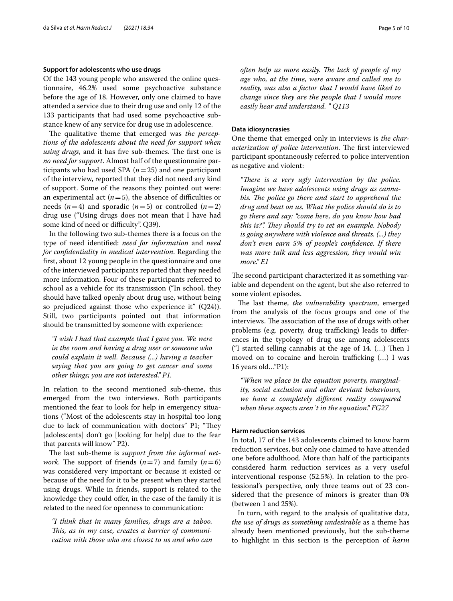#### **Support for adolescents who use drugs**

Of the 143 young people who answered the online questionnaire, 46.2% used some psychoactive substance before the age of 18. However, only one claimed to have attended a service due to their drug use and only 12 of the 133 participants that had used some psychoactive substance knew of any service for drug use in adolescence.

The qualitative theme that emerged was *the perceptions of the adolescents about the need for support when using drugs*, and it has five sub-themes. The first one is *no need for support*. Almost half of the questionnaire participants who had used SPA (*n*=25) and one participant of the interview, reported that they did not need any kind of support. Some of the reasons they pointed out were: an experimental act  $(n=5)$ , the absence of difficulties or needs  $(n=4)$  and sporadic  $(n=5)$  or controlled  $(n=2)$ drug use ("Using drugs does not mean that I have had some kind of need or difficulty". Q39).

In the following two sub-themes there is a focus on the type of need identifed: *need for information* and *need for confdentiality in medical intervention*. Regarding the frst, about 12 young people in the questionnaire and one of the interviewed participants reported that they needed more information. Four of these participants referred to school as a vehicle for its transmission ("In school, they should have talked openly about drug use, without being so prejudiced against those who experience it" (Q24)). Still, two participants pointed out that information should be transmitted by someone with experience:

*"I wish I had that example that I gave you. We were in the room and having a drug user or someone who could explain it well. Because (...) having a teacher saying that you are going to get cancer and some other things; you are not interested." P1.*

In relation to the second mentioned sub-theme, this emerged from the two interviews. Both participants mentioned the fear to look for help in emergency situations ("Most of the adolescents stay in hospital too long due to lack of communication with doctors" P1; "They [adolescents] don't go [looking for help] due to the fear that parents will know" P2).

The last sub-theme is *support from the informal network*. The support of friends  $(n=7)$  and family  $(n=6)$ was considered very important or because it existed or because of the need for it to be present when they started using drugs. While in friends, support is related to the knowledge they could offer, in the case of the family it is related to the need for openness to communication:

*"I think that in many families, drugs are a taboo. Tis, as in my case, creates a barrier of communication with those who are closest to us and who can*  *often help us more easily. The lack of people of my age who, at the time, were aware and called me to reality, was also a factor that I would have liked to change since they are the people that I would more easily hear and understand. " Q113*

## **Data idiosyncrasies**

One theme that emerged only in interviews is *the characterization of police intervention*. The first interviewed participant spontaneously referred to police intervention as negative and violent:

*"There is a very ugly intervention by the police. Imagine we have adolescents using drugs as canna*bis. The police go there and start to apprehend the *drug and beat on us. What the police should do is to go there and say: "come here, do you know how bad this is?". They should try to set an example. Nobody is going anywhere with violence and threats. (...) they don't even earn 5% of people's confdence. If there was more talk and less aggression, they would win more." E1*

The second participant characterized it as something variable and dependent on the agent, but she also referred to some violent episodes.

The last theme, *the vulnerability spectrum*, emerged from the analysis of the focus groups and one of the interviews. The association of the use of drugs with other problems (e.g. poverty, drug trafficking) leads to differences in the typology of drug use among adolescents ("I started selling cannabis at the age of  $14$ . (...) Then I moved on to cocaine and heroin trafficking  $(...)$  I was 16 years old…"P1):

*"When we place in the equation poverty, marginality, social exclusion and other deviant behaviours, we have a completely diferent reality compared when these aspects aren´t in the equation." FG27*

# **Harm reduction services**

In total, 17 of the 143 adolescents claimed to know harm reduction services, but only one claimed to have attended one before adulthood. More than half of the participants considered harm reduction services as a very useful interventional response (52.5%). In relation to the professional's perspective, only three teams out of 23 considered that the presence of minors is greater than 0% (between 1 and 25%).

In turn, with regard to the analysis of qualitative data*, the use of drugs as something undesirable* as a theme has already been mentioned previously, but the sub-theme to highlight in this section is the perception of *harm*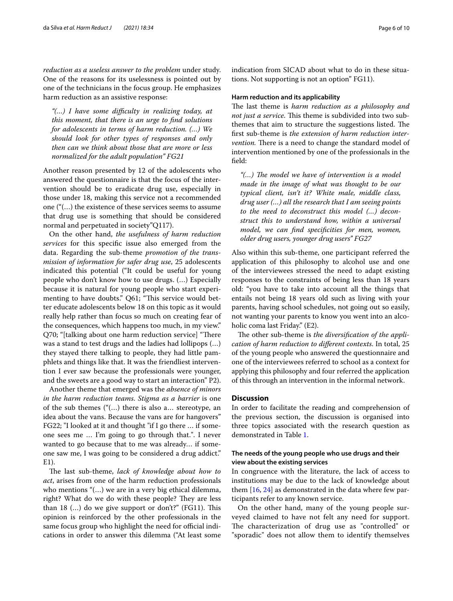*reduction as a useless answer to the problem* under study. One of the reasons for its uselessness is pointed out by one of the technicians in the focus group. He emphasizes harm reduction as an assistive response:

*"(…) I have some difculty in realizing today, at this moment, that there is an urge to fnd solutions for adolescents in terms of harm reduction. (…) We should look for other types of responses and only then can we think about those that are more or less normalized for the adult population" FG21*

Another reason presented by 12 of the adolescents who answered the questionnaire is that the focus of the intervention should be to eradicate drug use, especially in those under 18, making this service not a recommended one ("(…) the existence of these services seems to assume that drug use is something that should be considered normal and perpetuated in society"Q117).

On the other hand, *the usefulness of harm reduction services* for this specifc issue also emerged from the data. Regarding the sub-theme *promotion of the transmission of information for safer drug use*, 25 adolescents indicated this potential ("It could be useful for young people who don't know how to use drugs. (…) Especially because it is natural for young people who start experimenting to have doubts." Q61; "This service would better educate adolescents below 18 on this topic as it would really help rather than focus so much on creating fear of the consequences, which happens too much, in my view." Q70; "[talking about one harm reduction service] "There was a stand to test drugs and the ladies had lollipops (…) they stayed there talking to people, they had little pamphlets and things like that. It was the friendliest intervention I ever saw because the professionals were younger, and the sweets are a good way to start an interaction" P2).

Another theme that emerged was the *absence of minors in the harm reduction teams*. *Stigma as a barrier* is one of the sub themes ("(…) there is also a… stereotype, an idea about the vans. Because the vans are for hangovers" FG22; "I looked at it and thought "if I go there … if someone sees me … I'm going to go through that.". I never wanted to go because that to me was already… if someone saw me, I was going to be considered a drug addict." E1).

The last sub-theme, *lack of knowledge about how to act*, arises from one of the harm reduction professionals who mentions "(…) we are in a very big ethical dilemma, right? What do we do with these people? They are less than 18  $(...)$  do we give support or don't?" (FG11). This opinion is reinforced by the other professionals in the same focus group who highlight the need for official indications in order to answer this dilemma ("At least some indication from SICAD about what to do in these situations. Not supporting is not an option" FG11).

#### **Harm reduction and its applicability**

The last theme is *harm reduction as a philosophy and not just a service*. This theme is subdivided into two subthemes that aim to structure the suggestions listed. The frst sub-theme is *the extension of harm reduction intervention*. There is a need to change the standard model of intervention mentioned by one of the professionals in the feld:

"(...) The model we have of intervention is a model *made in the image of what was thought to be our typical client, isn't it? White male, middle class, drug user (…) all the research that I am seeing points to the need to deconstruct this model (…) deconstruct this to understand how, within a universal model, we can fnd specifcities for men, women, older drug users, younger drug users" FG27*

Also within this sub-theme, one participant referred the application of this philosophy to alcohol use and one of the interviewees stressed the need to adapt existing responses to the constraints of being less than 18 years old: "you have to take into account all the things that entails not being 18 years old such as living with your parents, having school schedules, not going out so easily, not wanting your parents to know you went into an alcoholic coma last Friday." (E2).

The other sub-theme is the diversification of the appli*cation of harm reduction to diferent contexts*. In total, 25 of the young people who answered the questionnaire and one of the interviewees referred to school as a context for applying this philosophy and four referred the application of this through an intervention in the informal network.

# **Discussion**

In order to facilitate the reading and comprehension of the previous section, the discussion is organised into three topics associated with the research question as demonstrated in Table [1.](#page-6-0)

# **The needs of the young people who use drugs and their view about the existing services**

In congruence with the literature, the lack of access to institutions may be due to the lack of knowledge about them [[16](#page-8-13), [24\]](#page-8-20) as demonstrated in the data where few participants refer to any known service.

On the other hand, many of the young people surveyed claimed to have not felt any need for support. The characterization of drug use as "controlled" or "sporadic" does not allow them to identify themselves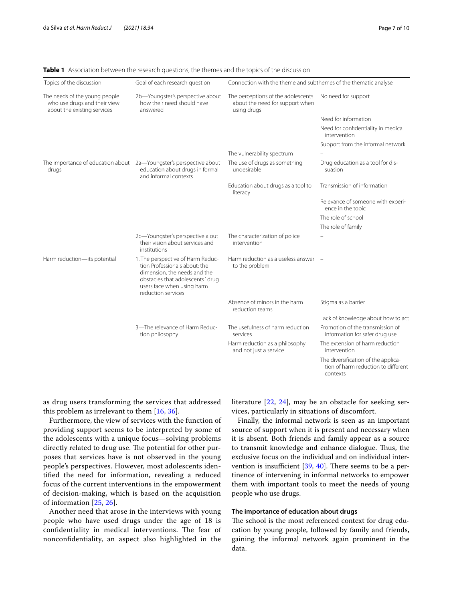| Topics of the discussion                                                                     | Goal of each research question                                                                                                                                                             | Connection with the theme and subthemes of the thematic analyse                      |                                                                                        |
|----------------------------------------------------------------------------------------------|--------------------------------------------------------------------------------------------------------------------------------------------------------------------------------------------|--------------------------------------------------------------------------------------|----------------------------------------------------------------------------------------|
| The needs of the young people<br>who use drugs and their view<br>about the existing services | 2b-Youngster's perspective about<br>how their need should have<br>answered                                                                                                                 | The perceptions of the adolescents<br>about the need for support when<br>using drugs | No need for support                                                                    |
|                                                                                              |                                                                                                                                                                                            |                                                                                      | Need for information                                                                   |
|                                                                                              |                                                                                                                                                                                            |                                                                                      | Need for confidentiality in medical<br>intervention                                    |
|                                                                                              |                                                                                                                                                                                            |                                                                                      | Support from the informal network                                                      |
|                                                                                              |                                                                                                                                                                                            | The vulnerability spectrum                                                           |                                                                                        |
| The importance of education about 2a-Youngster's perspective about<br>drugs                  | education about drugs in formal<br>and informal contexts                                                                                                                                   | The use of drugs as something<br>undesirable                                         | Drug education as a tool for dis-<br>suasion                                           |
|                                                                                              |                                                                                                                                                                                            | Education about drugs as a tool to<br>literacy                                       | Transmission of information                                                            |
|                                                                                              |                                                                                                                                                                                            |                                                                                      | Relevance of someone with experi-<br>ence in the topic                                 |
|                                                                                              |                                                                                                                                                                                            |                                                                                      | The role of school                                                                     |
|                                                                                              |                                                                                                                                                                                            |                                                                                      | The role of family                                                                     |
|                                                                                              | 2c-Youngster's perspective a out<br>their vision about services and<br>institutions                                                                                                        | The characterization of police<br>intervention                                       |                                                                                        |
| Harm reduction-its potential                                                                 | 1. The perspective of Harm Reduc-<br>tion Professionals about: the<br>dimension, the needs and the<br>obstacles that adolescents' drug<br>users face when using harm<br>reduction services | Harm reduction as a useless answer –<br>to the problem                               |                                                                                        |
|                                                                                              |                                                                                                                                                                                            | Absence of minors in the harm<br>reduction teams                                     | Stigma as a barrier                                                                    |
|                                                                                              |                                                                                                                                                                                            |                                                                                      | Lack of knowledge about how to act                                                     |
|                                                                                              | 3-The relevance of Harm Reduc-<br>tion philosophy                                                                                                                                          | The usefulness of harm reduction<br>services                                         | Promotion of the transmission of<br>information for safer drug use                     |
|                                                                                              |                                                                                                                                                                                            | Harm reduction as a philosophy<br>and not just a service                             | The extension of harm reduction<br>intervention                                        |
|                                                                                              |                                                                                                                                                                                            |                                                                                      | The diversification of the applica-<br>tion of harm reduction to different<br>contexts |

<span id="page-6-0"></span>**Table 1** Association between the research questions, the themes and the topics of the discussion

as drug users transforming the services that addressed this problem as irrelevant to them [[16,](#page-8-13) [36\]](#page-9-7).

Furthermore, the view of services with the function of providing support seems to be interpreted by some of the adolescents with a unique focus—solving problems directly related to drug use. The potential for other purposes that services have is not observed in the young people's perspectives. However, most adolescents identifed the need for information, revealing a reduced focus of the current interventions in the empowerment of decision-making, which is based on the acquisition of information [[25,](#page-8-21) [26\]](#page-9-0).

Another need that arose in the interviews with young people who have used drugs under the age of 18 is confidentiality in medical interventions. The fear of nonconfdentiality, an aspect also highlighted in the literature [[22,](#page-8-19) [24\]](#page-8-20), may be an obstacle for seeking services, particularly in situations of discomfort.

Finally, the informal network is seen as an important source of support when it is present and necessary when it is absent. Both friends and family appear as a source to transmit knowledge and enhance dialogue. Thus, the exclusive focus on the individual and on individual intervention is insufficient  $[39, 40]$  $[39, 40]$  $[39, 40]$  $[39, 40]$ . There seems to be a pertinence of intervening in informal networks to empower them with important tools to meet the needs of young people who use drugs.

## **The importance of education about drugs**

The school is the most referenced context for drug education by young people, followed by family and friends, gaining the informal network again prominent in the data.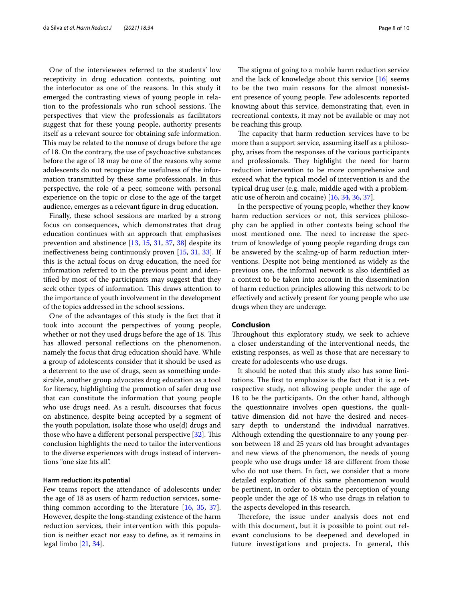One of the interviewees referred to the students' low receptivity in drug education contexts, pointing out the interlocutor as one of the reasons. In this study it emerged the contrasting views of young people in relation to the professionals who run school sessions. The perspectives that view the professionals as facilitators suggest that for these young people, authority presents itself as a relevant source for obtaining safe information. This may be related to the nonuse of drugs before the age of 18. On the contrary, the use of psychoactive substances before the age of 18 may be one of the reasons why some adolescents do not recognize the usefulness of the information transmitted by these same professionals. In this perspective, the role of a peer, someone with personal experience on the topic or close to the age of the target audience, emerges as a relevant fgure in drug education.

Finally, these school sessions are marked by a strong focus on consequences, which demonstrates that drug education continues with an approach that emphasises prevention and abstinence [\[13,](#page-8-22) [15](#page-8-12), [31](#page-9-4), [37](#page-9-9), [38](#page-9-10)] despite its inefectiveness being continuously proven [[15,](#page-8-12) [31,](#page-9-4) [33\]](#page-9-5). If this is the actual focus on drug education, the need for information referred to in the previous point and identifed by most of the participants may suggest that they seek other types of information. This draws attention to the importance of youth involvement in the development of the topics addressed in the school sessions.

One of the advantages of this study is the fact that it took into account the perspectives of young people, whether or not they used drugs before the age of 18. This has allowed personal refections on the phenomenon, namely the focus that drug education should have. While a group of adolescents consider that it should be used as a deterrent to the use of drugs, seen as something undesirable, another group advocates drug education as a tool for literacy, highlighting the promotion of safer drug use that can constitute the information that young people who use drugs need. As a result, discourses that focus on abstinence, despite being accepted by a segment of the youth population, isolate those who use(d) drugs and those who have a different personal perspective  $[32]$  $[32]$  $[32]$ . This conclusion highlights the need to tailor the interventions to the diverse experiences with drugs instead of interventions "one size fts all".

## **Harm reduction: its potential**

Few teams report the attendance of adolescents under the age of 18 as users of harm reduction services, something common according to the literature  $[16, 35, 37]$  $[16, 35, 37]$  $[16, 35, 37]$  $[16, 35, 37]$  $[16, 35, 37]$  $[16, 35, 37]$  $[16, 35, 37]$ . However, despite the long-standing existence of the harm reduction services, their intervention with this population is neither exact nor easy to defne, as it remains in legal limbo [\[21](#page-8-18), [34](#page-9-6)].

The stigma of going to a mobile harm reduction service and the lack of knowledge about this service [\[16](#page-8-13)] seems to be the two main reasons for the almost nonexistent presence of young people. Few adolescents reported knowing about this service, demonstrating that, even in recreational contexts, it may not be available or may not be reaching this group.

The capacity that harm reduction services have to be more than a support service, assuming itself as a philosophy, arises from the responses of the various participants and professionals. They highlight the need for harm reduction intervention to be more comprehensive and exceed what the typical model of intervention is and the typical drug user (e.g. male, middle aged with a problematic use of heroin and cocaine) [[16](#page-8-13), [34,](#page-9-6) [36](#page-9-7), [37](#page-9-9)].

In the perspective of young people, whether they know harm reduction services or not, this services philosophy can be applied in other contexts being school the most mentioned one. The need to increase the spectrum of knowledge of young people regarding drugs can be answered by the scaling-up of harm reduction interventions. Despite not being mentioned as widely as the previous one, the informal network is also identifed as a context to be taken into account in the dissemination of harm reduction principles allowing this network to be efectively and actively present for young people who use drugs when they are underage.

# **Conclusion**

Throughout this exploratory study, we seek to achieve a closer understanding of the interventional needs, the existing responses, as well as those that are necessary to create for adolescents who use drugs.

It should be noted that this study also has some limitations. The first to emphasize is the fact that it is a retrospective study, not allowing people under the age of 18 to be the participants. On the other hand, although the questionnaire involves open questions, the qualitative dimension did not have the desired and necessary depth to understand the individual narratives. Although extending the questionnaire to any young person between 18 and 25 years old has brought advantages and new views of the phenomenon, the needs of young people who use drugs under 18 are diferent from those who do not use them. In fact, we consider that a more detailed exploration of this same phenomenon would be pertinent, in order to obtain the perception of young people under the age of 18 who use drugs in relation to the aspects developed in this research.

Therefore, the issue under analysis does not end with this document, but it is possible to point out relevant conclusions to be deepened and developed in future investigations and projects. In general, this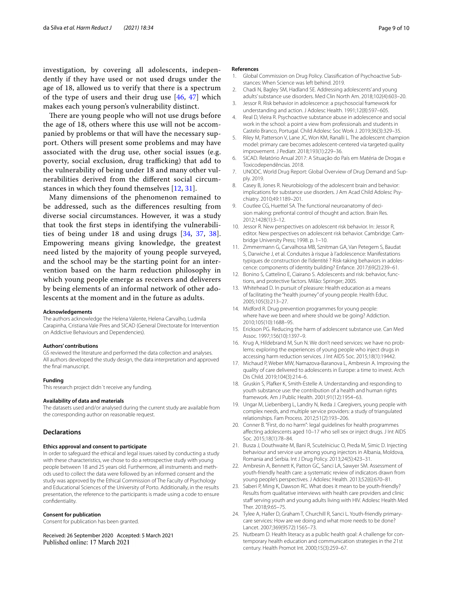investigation, by covering all adolescents, independently if they have used or not used drugs under the age of 18, allowed us to verify that there is a spectrum of the type of users and their drug use [\[46](#page-9-19), [47](#page-9-20)] which makes each young person's vulnerability distinct.

There are young people who will not use drugs before the age of 18, others where this use will not be accompanied by problems or that will have the necessary support. Others will present some problems and may have associated with the drug use, other social issues (e.g. poverty, social exclusion, drug trafficking) that add to the vulnerability of being under 18 and many other vulnerabilities derived from the diferent social circumstances in which they found themselves [[12,](#page-8-10) [31\]](#page-9-4).

Many dimensions of the phenomenon remained to be addressed, such as the diferences resulting from diverse social circumstances. However, it was a study that took the frst steps in identifying the vulnerabilities of being under 18 and using drugs [[34,](#page-9-6) [37,](#page-9-9) [38\]](#page-9-10). Empowering means giving knowledge, the greatest need listed by the majority of young people surveyed, and the school may be the starting point for an intervention based on the harm reduction philosophy in which young people emerge as receivers and deliverers by being elements of an informal network of other adolescents at the moment and in the future as adults.

#### **Acknowledgements**

The authors acknowledge the Helena Valente, Helena Carvalho, Ludmila Carapinha, Cristiana Vale Pires and SICAD (General Directorate for Intervention on Addictive Behaviours and Dependencies).

#### **Authors' contributions**

GS reviewed the literature and performed the data collection and analyses. All authors developed the study design, the data interpretation and approved the fnal manuscript.

#### **Funding**

This research project didn´t receive any funding.

#### **Availability of data and materials**

The datasets used and/or analysed during the current study are available from the corresponding author on reasonable request.

#### **Declarations**

#### **Ethics approval and consent to participate**

In order to safeguard the ethical and legal issues raised by conducting a study with these characteristics, we chose to do a retrospective study with young people between 18 and 25 years old. Furthermore, all instruments and methods used to collect the data were followed by an informed consent and the study was approved by the Ethical Commission of The Faculty of Psychology and Educational Sciences of the University of Porto. Additionally, in the results presentation, the reference to the participants is made using a code to ensure confdentiality.

#### **Consent for publication**

Consent for publication has been granted.

Received: 26 September 2020 Accepted: 5 March 2021 Published online: 17 March 2021

#### **References**

- <span id="page-8-0"></span>1. Global Commission on Drug Policy. Classifcation of Psychoactive Substances: When Science was left behind. 2019.
- <span id="page-8-1"></span>2. Chadi N, Bagley SM, Hadland SE. Addressing adolescents' and young adults' substance use disorders. Med Clin North Am. 2018;102(4):603–20.
- <span id="page-8-7"></span>3. Jessor R. Risk behavior in adolescence: a psychosocial framework for understanding and action. J Adolesc Health. 1991;12(8):597–605.
- 4. Real D, Vieira R. Psychoactive substance abuse in adolescence and social work in the school: a point a view from professionals and students in Castelo Branco, Portugal. Child Adolesc Soc Work J. 2019;36(3):329–35.
- <span id="page-8-2"></span>5. Riley M, Patterson V, Lane JC, Won KM, Ranalli L. The adolescent champion model: primary care becomes adolescent-centered via targeted quality improvement. J Pediatr. 2018;193(1):229–36.
- <span id="page-8-3"></span>6. SICAD. Relatório Anual 2017: A Situação do País em Matéria de Drogas e Toxicodependências. 2018.
- <span id="page-8-4"></span>7. UNODC. World Drug Report: Global Overview of Drug Demand and Supply. 2019.
- <span id="page-8-5"></span>8. Casey B, Jones R. Neurobiology of the adolescent brain and behavior: implications for substance use disorders. J Am Acad Child Adolesc Psychiatry. 2010;49:1189–201.
- <span id="page-8-6"></span>9. Coutlee CG, Huettel SA. The functional neuroanatomy of decision making: prefrontal control of thought and action. Brain Res. 2012;1428(1):3–12.
- <span id="page-8-8"></span>10. Jessor R. New perspectives on adolescent risk behavior. In: Jessor R, editor. New perspectives on adolescent risk behavior. Cambridge: Cambridge University Press; 1998. p. 1–10.
- <span id="page-8-9"></span>11. Zimmermann G, Carvalhosa MB, Sznitman GA, Van Petegem S, Baudat S, Darwiche J, et al. Conduites à risque à l'adolescence: Manifestations typiques de construction de l'identité ? Risk-taking behaviors in adolescence: components of identity building? Enfance. 2017;69(2):239–61.
- <span id="page-8-10"></span>12. Bonino S, Cattelino E, Ciairano S. Adolescents and risk: behavior, functions, and protective factors. Milão: Springer; 2005.
- <span id="page-8-22"></span>13. Whitehead D. In pursuit of pleasure: Health education as a means of facilitating the "health journey" of young people. Health Educ. 2005;105(3):213–27.
- <span id="page-8-11"></span>14. Midford R. Drug prevention programmes for young people: where have we been and where should we be going? Addiction. 2010;105(10):1688–95.
- <span id="page-8-12"></span>15. Erickson PG. Reducing the harm of adolescent substance use. Can Med Assoc. 1997;156(10):1397–9.
- <span id="page-8-13"></span>16. Krug A, Hildebrand M, Sun N. We don't need services: we have no problems: exploring the experiences of young people who inject drugs in accessing harm reduction services. J Int AIDS Soc. 2015;18(1):19442.
- <span id="page-8-14"></span>17. Michaud P, Weber MW, Namazova-Baranova L, Ambresin A. Improving the quality of care delivered to adolescents in Europe: a time to invest. Arch Dis Child. 2019;104(3):214–6.
- <span id="page-8-15"></span>18. Gruskin S, Plafker K, Smith-Estelle A. Understanding and responding to youth substance use: the contribution of a health and human rights framework. Am J Public Health. 2001;91(12):1954–63.
- <span id="page-8-16"></span>19. Ungar M, Liebenberg L, Landry N, Ikeda J. Caregivers, young people with complex needs, and multiple service providers: a study of triangulated relationships. Fam Process. 2012;51(2):193–206.
- <span id="page-8-17"></span>20. Conner B. "First, do no harm": legal guidelines for health programmes afecting adolescents aged 10–17 who sell sex or inject drugs. J Int AIDS Soc. 2015;18(1):78–84.
- <span id="page-8-18"></span>21. Busza J, Douthwaite M, Bani R, Scutelniciuc O, Preda M, Simic D. Injecting behaviour and service use among young injectors in Albania, Moldova, Romania and Serbia. Int J Drug Policy. 2013;24(5):423–31.
- <span id="page-8-19"></span>22. Ambresin A, Bennett K, Patton GC, Sanci LA, Sawyer SM. Assessment of youth-friendly health care: a systematic review of indicators drawn from young people's perspectives. J Adolesc Health. 2013;52(6):670–81.
- 23. Saberi P, Ming K, Dawson RC. What does it mean to be youth-friendly? Results from qualitative interviews with health care providers and clinic staff serving youth and young adults living with HIV. Adolesc Health Med Ther. 2018;9:65–75.
- <span id="page-8-20"></span>24. Tylee A, Haller D, Graham T, Churchill R, Sanci L. Youth-friendly primarycare services: How are we doing and what more needs to be done? Lancet. 2007;369(9572):1565–73.
- <span id="page-8-21"></span>25. Nutbeam D. Health literacy as a public health goal: A challenge for contemporary health education and communication strategies in the 21st century. Health Promot Int. 2000;15(3):259–67.